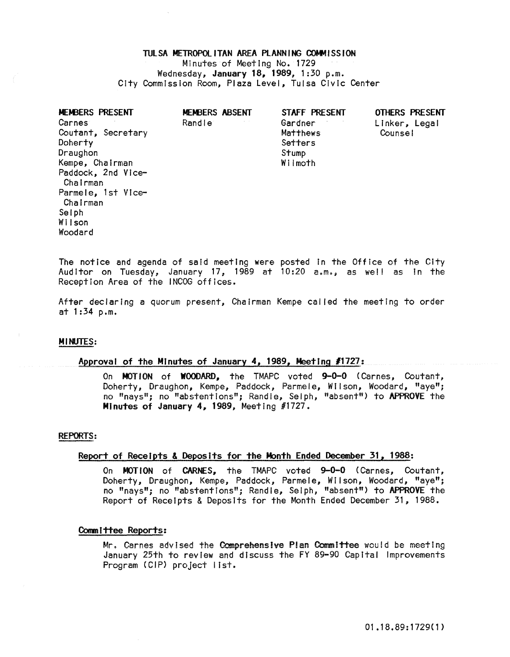# TULSA METROPOLITAN AREA PLANNING COMMISSION Minutes of Meeting No. 1729 Wednesday, January 18, 1989, 1:30 p.m. City Commission Room, Plaza Level, Tulsa Civic Center

| MEMBERS PRESENT<br>Carnes<br>Coutant, Secretary<br>Doherty<br>Draughon<br>Kempe, Chairman<br>Paddock, 2nd Vice-<br>Chairman<br>Parmele, 1st Vice-<br>Chairman<br>Selph<br>Wilson<br>Woodard | MEMBERS ABSENT<br>Randle | STAFF PRESENT<br>Gardner<br>Matthews<br>Setters<br>Stump<br>Wilmoth | OTHERS PRESENT<br>Linker, Legal<br>Counsel |
|---------------------------------------------------------------------------------------------------------------------------------------------------------------------------------------------|--------------------------|---------------------------------------------------------------------|--------------------------------------------|
|---------------------------------------------------------------------------------------------------------------------------------------------------------------------------------------------|--------------------------|---------------------------------------------------------------------|--------------------------------------------|

The notice and agenda of said meeting were posted In the Office of the City Auditor on Tuesday, January 17, 1989 at 10:20 a.m., as well as in the Reception Area of the INCOG offices.

After declaring a quorum present, Chairman Kempe called the meeting to order at 1:34 p.m.

# MINUTES:

# Approval of the Minutes of January 4, 1989, Meeting *11727:*

On MOTION of WOODARD, the TMAPC voted 9-0-0 (Carnes, Coutant, Doherty, Draughon, Kempe, Paddock, Parmele, Wilson, Woodard, "aye"; no "nays"; no "abstentions"; Randle, Selph, "absent") to APPROVE the Minutes of January 4, 1989, Meeting #1727.

# **P£PORTS:**

# Report of Receipts & Deposits for the Month Ended December 31, 1988:

On MOTION of CARNES, the TMAPC voted 9-0-0 (Carnes, Coutant, Doherty, Draughon, Kempe, Paddock, Parmele, Wilson, Woodard, "aye"; no "nays"; no "abstentions"; Randle, Selph, "absent") to APPROVE the Report of Receipts & Deposits for the Month Ended December 31, 1988.

# Committee Reports:

Mr. Carnes advised the Comprehensive Plan Committee would be meeting January 25th to review and discuss the FY 89-90 Capital Improvements Program (CIP) project list.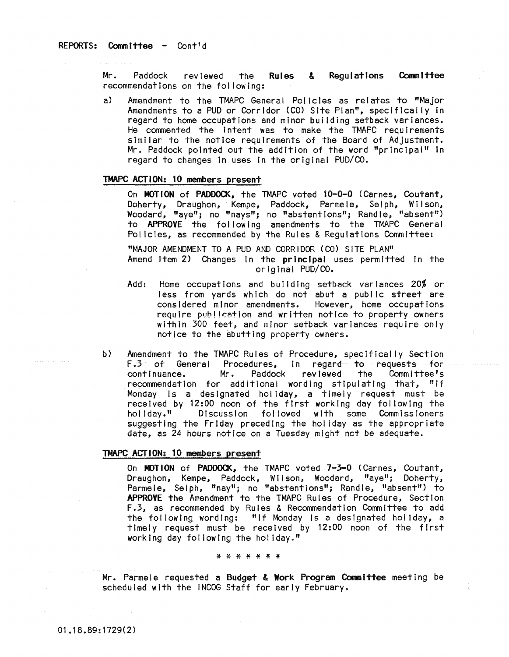Mr. Paddock reviewed the Rules & Regulations Committee recommendations on the fol lowing:

a) Amendment to the TMAPC General Policies as relates to "Major Amendments to a PUD or Corridor (CO) Site Plan", speclftcally In regard to home occupations and minor building setback variances. He commented the Intent was to make the TMAPC requirements similar to the notice requirements of the Board of Adjustment. Mr. Paddock pointed out the addition of the word "principal" In regard to changes In uses In the original PUD/CO.

# TMAPC ACTION: 10 members present

On MOTION of PADDOCK, the TMAPC voted 10-0-0 (Carnes, Coutant, Doherty, Draughon, Kempe, Paddock, Parmele, Selph, Wilson, Woodard, "aye"; no "nays"; no "abstentions"; Randle, "absent") to APPROVE the fol lowing amendments to the TMAPC General Policies, as recommended by the Rules & Regulations Committee:

"MAJOR AMENDMENT TO A PUD AND CORRIDOR (CO) SITE PLAN" Amend Item 2) Changes In the principal uses permitted In the original PUD/CO.

- Add: Home occupations and building setback variances 20% or less from yards which do not abut a public street are considered minor amendments. However, home occupations require publication and written notice to property owners within 300 feet, and minor setback variances require only notice to the abutting property owners.
- b) Amendment to the TMAPC Rules of Procedure, specifically Section<br>F.3 of General Procedures, in regard to requests for F.3 of General Procedures, in regard to requests for the Committee's<br>Example: Mr. Paddock reviewed the Committee's continuance. recommendation for additional wording stipulating that, "If Monday is a designated hoi Iday, a timely request must be received by 12:00 noon of the first working day following the<br>holiday." Discussion followed with some Commissioners Discussion followed with some Commissioners suggesting the Friday preceding the hoi iday as the appropriate date, as 24 hours notice on a Tuesday mIght not be adequate.

# TMAPC ACTION: 10 members present

On MOTION of PADDOCK, the TMAPC voted 1-3-0 (Carnes, Coutant, Draughon, Kempe, Paddock, Wilson, Woodard, "aye"; Doherty, Parmele, Selph, "nay"; no "abstentions"; Randle, "absent") to APPROVE the Amendment to the TMAPC Rules of Procedure, Section F.3, as recommended by Rules & Recommendation Committee to add the following wording: "If Monday Is a designated holiday, a timely request must be received by 12:00 noon of the first working day fol lowing the hoi Iday."

#### \* \* \* \* \* \* \*

Mr. Parmele requested a Budget & Work Program Committee meeting be scheduled with the INCOG Staff for early February.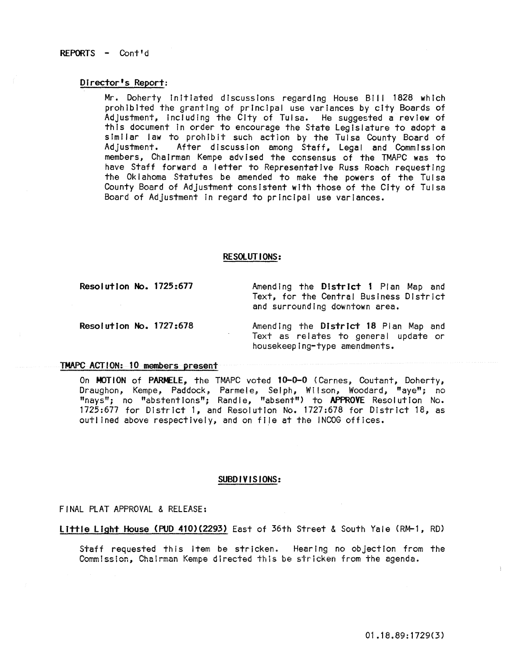# REPORTS - Cont'd

# Director's Report:

Mr. Doherty initiated discussions regarding House Bill 1828 which prohibited the granting of principal use variances by city Boards of Adjustment, Including the City of Tulsa. He suggested a review of this document In order to encourage the State Legislature to adopt a similar law to prohibit such action by the Tuisa County Board of<br>Adjustment. After discussion among Staff. Legal and Commission After discussion among Staff, Legal and Commission members, Chairman Kempe advised the consensus of the TMAPC was to have Staff forward a letter to Representative Russ Roach requesting the Oklahoma Statutes be amended to make the powers of the Tulsa County Board of Adjustment consistent with those of the City of Tulsa Board of Adjustment in regard to principal use variances.

# RESOlUTIONS:

Resolution No. 1125:611

Amending the District 1 Plan Map and Text, for the Central Business District and surrounding downtown area.

Resolution No. 1727:618

Amending the District 18 Plan Map and Text as relates to general update or housekeeping-type amendments.

#### TMAPC ACTION: 10 members present

On MOTION of PARMELE, the TMAPC voted 10-0-0 (Carnes, Coutant, Doherty, Draughon, Kempe, Paddock~ Parmele; Selph, Wilson, Woodard, "aye"; no "nays"; no "abstentions"; Randle, "absent") to APPROVE Resolution No. 1125:677 for District 1, and Resolution No. 1727:678 for District 18, as outlined above respectively, and on file at the INCOG offices.

# SUBDIVISIONS:

FINAL PLAT APPROVAL & RELEASE:

Little light House (PUD 410)(2293) East of 36th Street & South Yale (RM-l, RD)

Staff requested this item be stricken. Hearing no objection from the Commission, Chairman Kempe directed this be stricken from the agenda.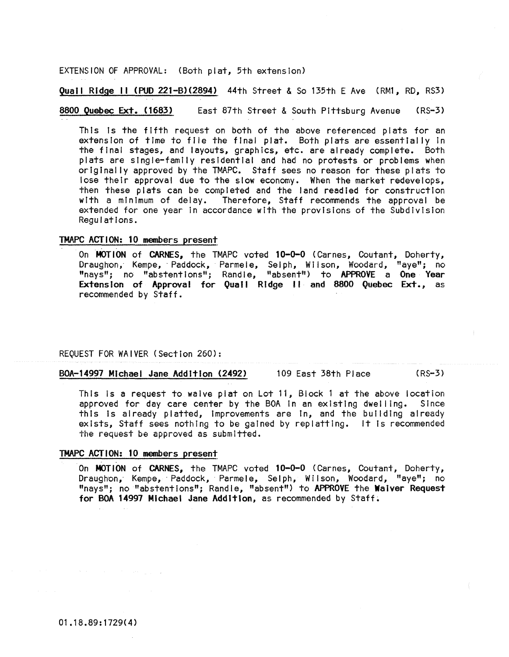EXTENSION OF APPROVAL: (Both plat, 5th extension)

**Quail Ridge 11 (PUD 221-B)(2894)** 44th Street & So 135th E Ave (RM1, RD, RS3)

8800 Quebec Ext. (1683) East 87th Street & South Pittsburg Avenue (RS-3)

This is the fifth request on both of the above referenced plats for an extension of time to file the final plat. Both plats are essentially in the final stages, and layouts, graphics, etc. are already complete. Both plats are single-family residential and had no protests or problems when originally approved by the TMAPC. Staff sees no reason for these plats to lose their approval due to the slow economy. When the market redevelops, then these piats can be completed and the land readied for construction with a minimum of delay. Therefore, Staff recommends the approval be extended for one year In accordance with the provisions of the Subdivision Regulations.

# TMAPC ACTION: 10 members present

On MOTION of CARNES, the TMAPC voted 10-0-0 (Carnes, Coutant, Doherty, Draughon, Kempe, Paddock, Parmele, Selph, Wilson, Woodard, "aye"; no "nays"; no "abstentions"; Randle, "absent") to APPROVE a One Year Extension of Approval for Quail Ridge II and 8800 Quebec Ext., as recommended by Staff.

REQUEST FOR WAIVER (Section 260):

BOA-14997 Michael Jane Addition (2492) 109 East 38th Place (RS-3)

This Is a request to waive piat on Lot 11, Block 1 at the above location approved for day care center by the BOA In an existing dwelling. Since this is already platted, Improvements are In, and the building already exists, Staff sees nothing to be gained by replattlng. It Is recommended the request be approved as submitted.

# TMAPC ACTION: 10 members present

On MOTION of CARNES, the TMAPC voted 10-0-0 (Carnes, Coutant, Doherty, Draughon, Kempe, Paddock, Parmele, Selph, Wilson, Woodard, "aye"; no "nays"; no "abstentions"; Randle, "absent") to APPROVE the Waiver Request for BOA 14997 Michael Jane Addition, as recommended by Staff.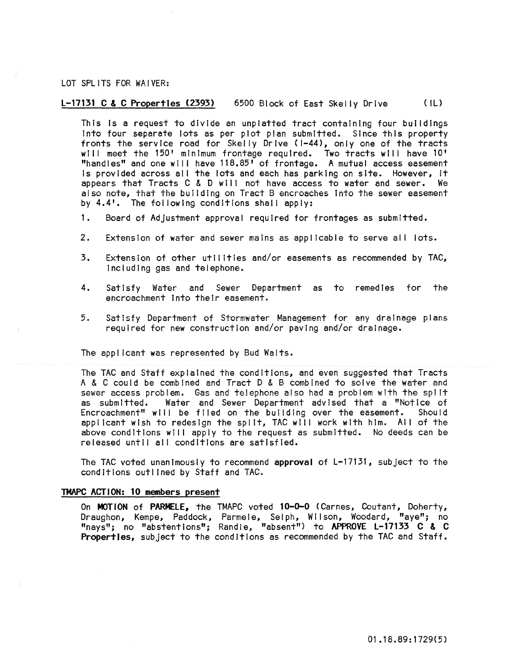# LOT SPLITS FOR WAIVER:

# L-17131 C & C Properties (2393) 6500 Block of East Skelly Drive ( IU

This Is a request to divide an unplatted tract containing four buildings Into four separate lots as per plot plan submitted. Since this property fronts the service road for Skelly Drive (1-44), only one of the tracts will meet the 150' minimum frontage required. Two tracts will have 10' "handles" and one will have 118.85' of frontage. A mutual access easement Is provided across al I the lots and each has parking on site. However, it appears that Tracts C & D will not have access to water and sewer. We also note, that the buiidlng on Tract 8 encroaches Into the sewer easement by 4.4'. The following conditions shall apply:

- 1. Board of Adjustment approval required for frontages as submitted.
- 2. Extension of water and sewer mains as applicable to serve all lots.
- 3. Extension of other utilities and/or easements as recommended by TAC, Including gas and telephone.
- 4. Satisfy Water and Sewer Department as to remedies for the encroachment Into their easement.
- 5. Satisfy Department of Stormwater Management for any drainage plans required for new construction and/or paving and/or drainage.

The applicant was represented by Bud Walts.

The TAC and Staff explained the conditions, and even suggested that Tracts A & C could be combIned and Tract 0 & B combined to solve the water and sewer access problem. Gas and te!ephone also had a problem with the spl It as submitted. Water and Sewer Department advised that a "Notice of<br>Encroachment" will be filed on the building over the easement. Should Encroachment" will be filed on the building over the easement. applicant wish to redesign the split, TAC will work with him. All of the above conditions will apply to the request as submitted. No deeds can be released until all conditions are satisfied.

The TAC voted unanimously to recommend approval of L-17131, subject to the conditions outlined by Staff and TAC.

# TMAPC ACTION: 10 members present

On MOTION of PARMELE, the TMAPC voted 10-0-0 (Carnes, Coutant, Doherty, Draughon, Kempe, Paddock, Parmele, Selph, Wilson, Woodard, "aye"; no "nays"; no "abstentions"; Randle, "absent") to APPROVE L-17133 C & C Properties, subject to the conditions as recommended by the TAC and Staff.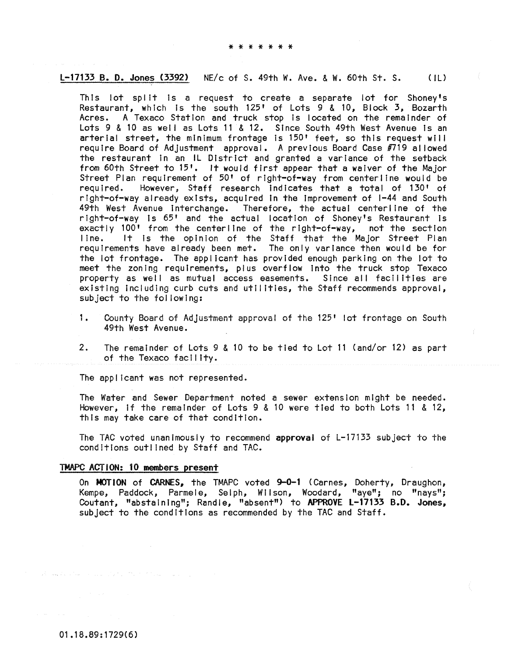#### L-17133 B. D. Jones (3392) NE/c of S. 49th W. Ave. & W. 60th St. S.  $(1)$

This lot split is a request to create a separate lot for Shoney's Restaurant, which is the south 125' of Lots 9 & 10, Block 3, Bozarth Acres. A Texaco Station and truck stop is located on the remainder of Lots 9 & 10 as well as Lots 11 & 12. Since South 49th West Avenue is an arterial street, the minimum frontage is 150' feet, so this request will require Board of Adjustment approval. A previous Board Case #719 allowed the restaurant in an IL District and granted a variance of the setback from 60th Street to 15'. It would first appear that a waiver of the Major Street Plan requirement of 50' of right-of-way from centerline would be required. However, Staff research indicates that a total of 130' of right-of-way already exists, acquired in the improvement of 1-44 and South 49th West Avenue interchange. Therefore, the actual centerline of the right-of-way is 65' and the actual location of Shoney's Restaurant is<br>exactly 100' from the centerline of the right-of-way, not the section It is the opinion of the Staff that the Major Street Plan  $line.$ requirements have already been met. The only variance then would be for the lot frontage. The applicant has provided enough parking on the lot to meet the zoning requirements, plus overflow into the truck stop Texaco property as well as mutual access easements. Since all facilities are existing including curb cuts and utilities, the Staff recommends approval, subject to the following:

- 1. County Board of Adjustment approval of the 125' lot frontage on South 49th West Avenue.
- $2.$ The remainder of Lots 9 & 10 to be tied to Lot 11 (and/or 12) as part of the Texaco facility.

The applicant was not represented.

The Water and Sewer Department noted a sewer extension might be needed. However, if the remainder of Lots 9 & 10 were tied to both Lots 11 & 12, this may take care of that condition.

The TAC voted unanimously to recommend approval of L-17133 subject to the conditions outlined by Staff and TAC.

#### TMAPC ACTION: 10 members present

On MOTION of CARNES, the TMAPC voted 9-0-1 (Carnes, Doherty, Draughon, Kempe, Paddock, Parmele, Selph, Wilson, Woodard, "aye"; no "nays"; Coutant, "abstaining"; Randle, "absent") to APPROVE L-17133 B.D. Jones, subject to the conditions as recommended by the TAC and Staff.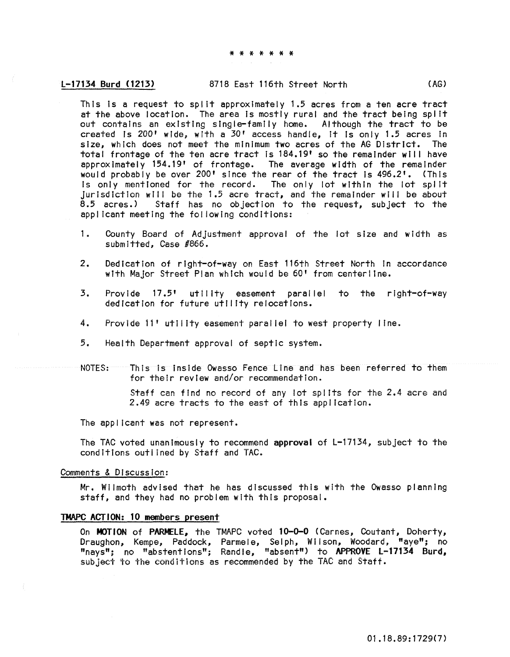# L-17134 Burd (1213) 8718 East 116th Street North (AG)

This Is a request to spilt approximately 1.5 acres from a ten acre tract at the above location. The area is mostly rural and the tract being split out contains an existing single-family home. Although the tract to be created Is 200' wide, with a 30' access handle, It is only 1.5 acres in size, which does not meet the minimum two acres of the AG District. The total frontage of the ten acre tract is 184.19' so the remainder will have approximately 154.19' of frontage. The average width of the remainder would probably be over 200' since the rear of the tract Is 496.2'. (This is only mentioned for the record. The only lot within the lot split JurisdictIon wili be the 1.5 acre tract, and the remainder will be about 8.5 acres.) Staff has no objection to the request, subject to the applicant meeting the fol lowing conditions:

- 1. County Board of Adjustment approval of the lot size and width as submitted, Case #866.
- 2. Dedication of right-of-way on East 116th Street North in accordance with Major Street Plan which would be 60' from centerline.
- 3. Provide 17.5' utility easement parallel to the right-of-way dedication for future utility relocations.
- 4. Provide 11' utility easement paral lei to west property line.
- 5. Health Department approval of septic system.
- NOTES: This is inside Owasso Fence Line and has been referred to them for their review and/or recommendation.

Staff can find no record of any lot sp! Its for the 2.4 acre and 2.49 acre tracts to the east of this appl icatlon.

The applicant was not represent.

The TAC voted unanimously to recommend approval of L-17134, subject to the conditions outlined by Staff and TAC.

#### Comments & Discussion:

Mr. Wilmoth advised that he has discussed this with the Owasso planning staff, and they had no problem with this proposal.

# TMAPC ACTION: 10 members present

On MOTION of PARMELE, the TMAPC voted 10-0-0 (Carnes, Coutant, Doherty, Draughon, Kempe, Paddock, Parmele, Selph, Wilson, Woodard. "aye"; no "nays"; no "abstentions"; Randle, "absent") to APPROVE L-17134 Burd, subject to the conditions as recommended by the TAC and Staff.